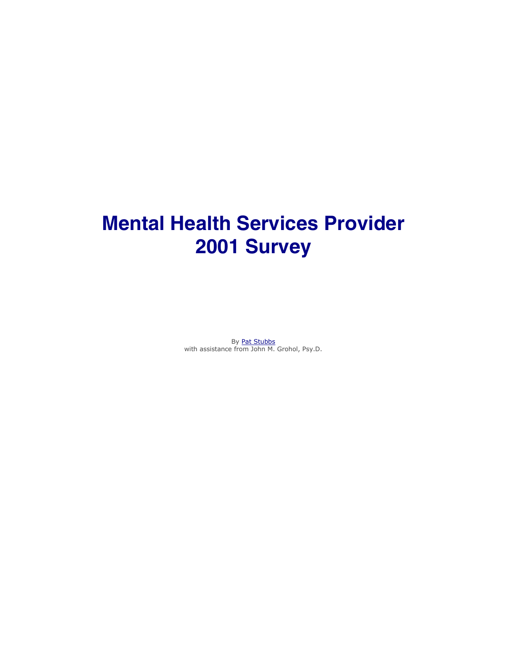# **Mental Health Services Provider 2001 Survey**

By Pat Stubbs with assistance from John M. Grohol, Psy.D.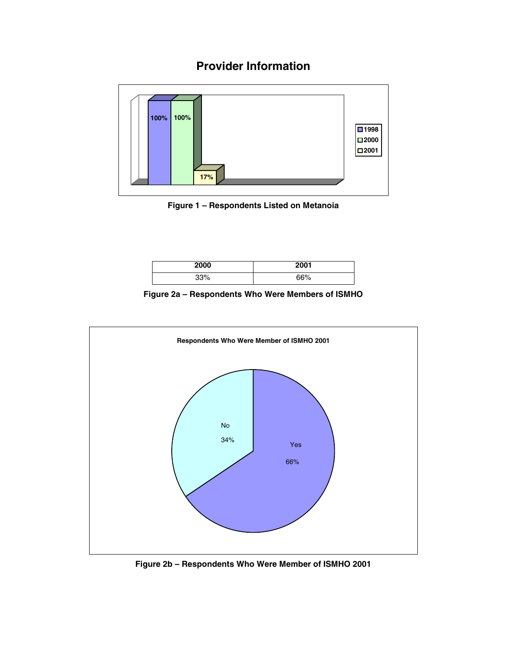# **Provider Information**



**Figure 1 – Respondents Listed on Metanoia** 

| 2000 | 2001       |
|------|------------|
| 000/ | CCO/<br>∕٥ |

**Figure 2a – Respondents Who Were Members of ISMHO** 



**Figure 2b – Respondents Who Were Member of ISMHO 2001**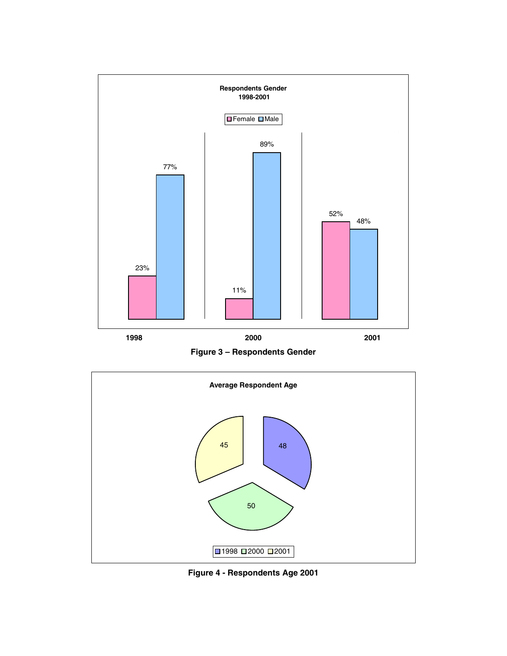

**Figure 3 – Respondents Gender**



**Figure 4 - Respondents Age 2001**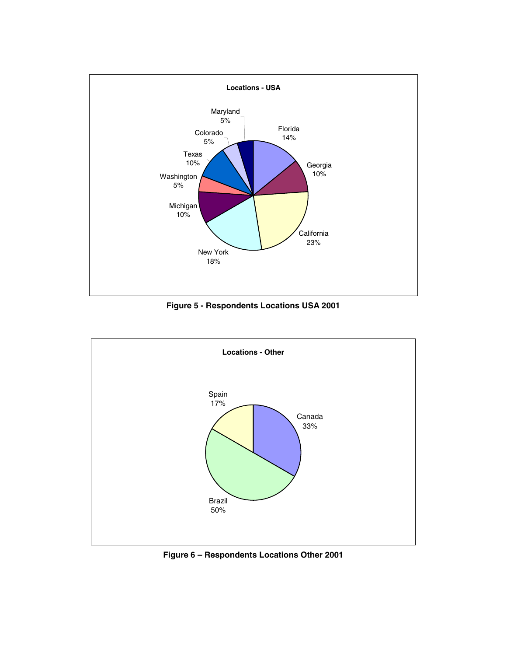

**Figure 5 - Respondents Locations USA 2001** 



**Figure 6 – Respondents Locations Other 2001**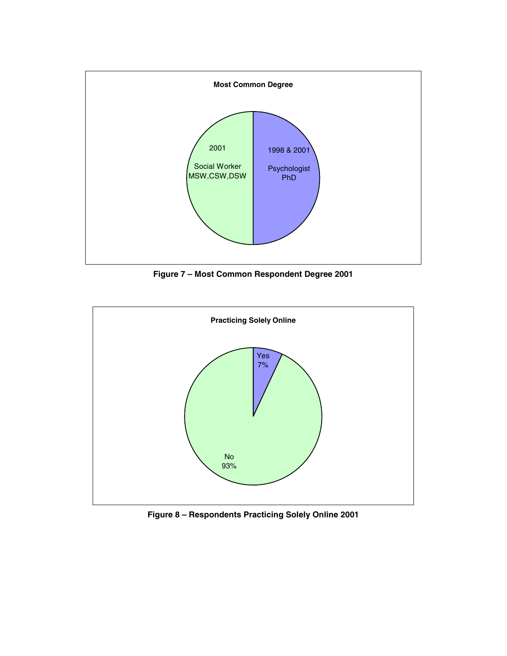

**Figure 7 – Most Common Respondent Degree 2001** 



**Figure 8 – Respondents Practicing Solely Online 2001**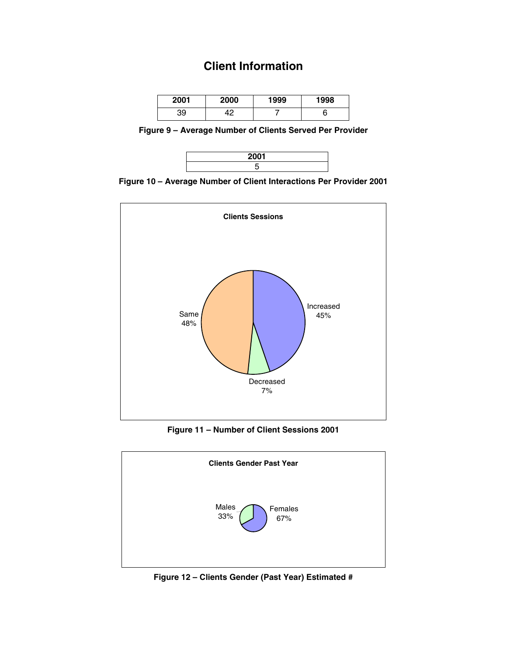## **Client Information**

| 2001 | 2000 | 1999 | 1998 |
|------|------|------|------|
| 39   | າດ   |      |      |

**Figure 9 – Average Number of Clients Served Per Provider** 



**Figure 10 – Average Number of Client Interactions Per Provider 2001** 



**Figure 11 – Number of Client Sessions 2001** 



**Figure 12 – Clients Gender (Past Year) Estimated #**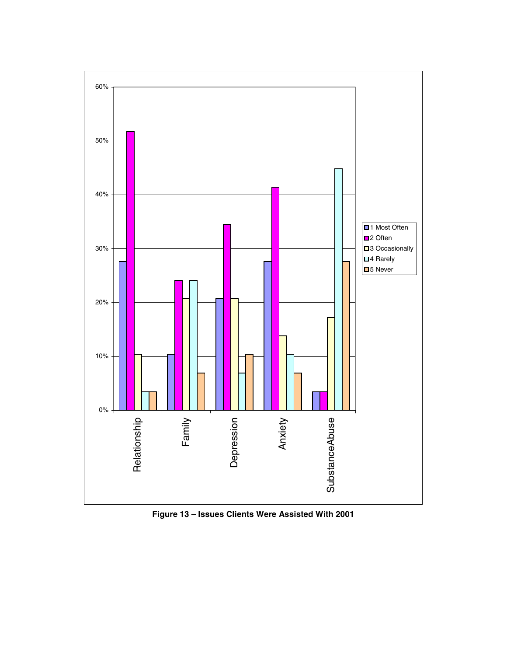

**Figure 13 – Issues Clients Were Assisted With 2001**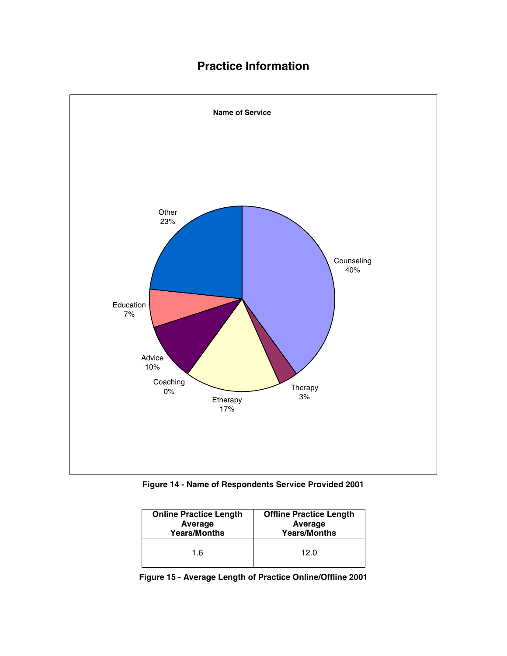# **Practice Information**



**Figure 14 - Name of Respondents Service Provided 2001** 

| <b>Online Practice Length</b> | <b>Offline Practice Length</b> |
|-------------------------------|--------------------------------|
| Average                       | Average                        |
| <b>Years/Months</b>           | <b>Years/Months</b>            |
| 1.6                           | 12.0                           |

**Figure 15 - Average Length of Practice Online/Offline 2001**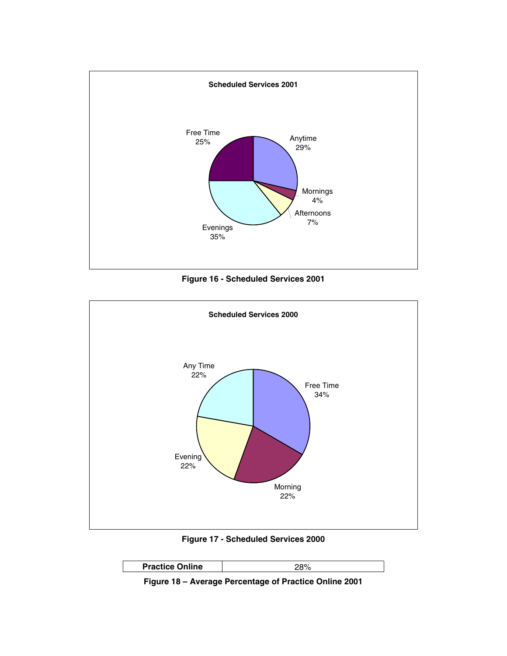

**Figure 16 - Scheduled Services 2001** 



**Figure 17 - Scheduled Services 2000** 



**Figure 18 – Average Percentage of Practice Online 2001**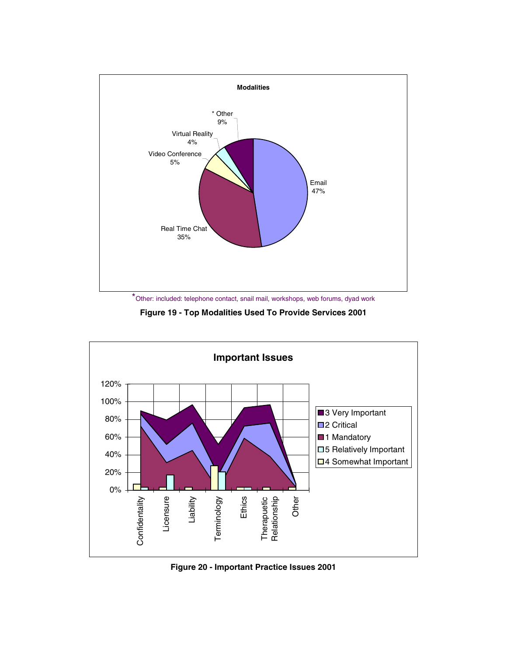

**Figure 19 - Top Modalities Used To Provide Services 2001** 



**Figure 20 - Important Practice Issues 2001**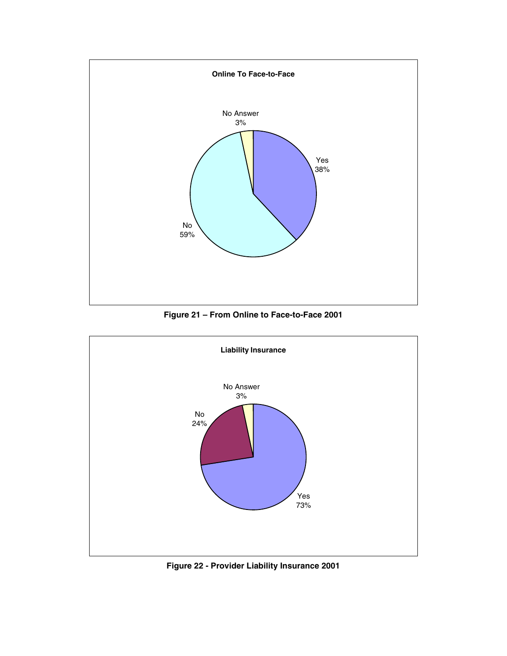

**Figure 21 – From Online to Face-to-Face 2001** 



**Figure 22 - Provider Liability Insurance 2001**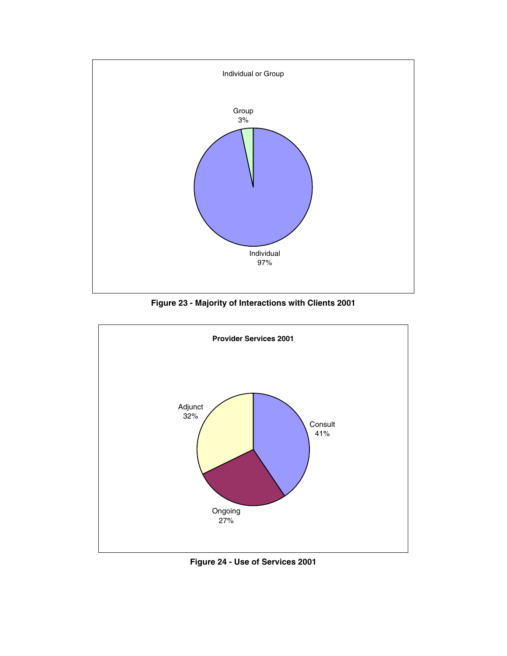

**Figure 23 - Majority of Interactions with Clients 2001** 



**Figure 24 - Use of Services 2001**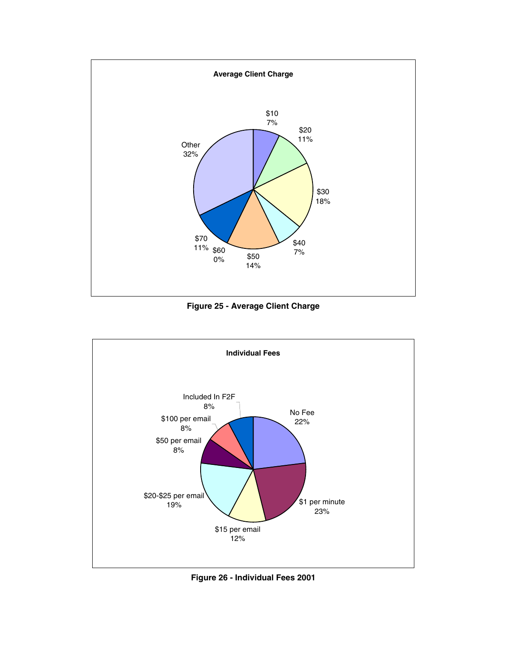

**Figure 25 - Average Client Charge** 



**Figure 26 - Individual Fees 2001**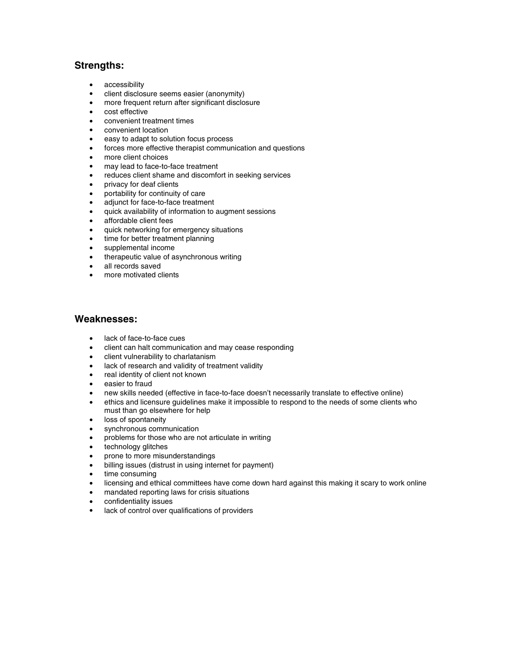#### **Strengths:**

- accessibility
- client disclosure seems easier (anonymity)
- more frequent return after significant disclosure
- cost effective
- convenient treatment times
- convenient location
- easy to adapt to solution focus process
- forces more effective therapist communication and questions
- more client choices
- may lead to face-to-face treatment
- reduces client shame and discomfort in seeking services
- privacy for deaf clients
- portability for continuity of care
- adjunct for face-to-face treatment
- quick availability of information to augment sessions
- affordable client fees
- quick networking for emergency situations
- time for better treatment planning
- supplemental income
- therapeutic value of asynchronous writing
- all records saved
- more motivated clients

#### **Weaknesses:**

- lack of face-to-face cues
- client can halt communication and may cease responding
- client vulnerability to charlatanism
- lack of research and validity of treatment validity
- real identity of client not known
- easier to fraud
- new skills needed (effective in face-to-face doesn't necessarily translate to effective online)
- ethics and licensure guidelines make it impossible to respond to the needs of some clients who must than go elsewhere for help
- loss of spontaneity
- synchronous communication
- problems for those who are not articulate in writing
- technology glitches
- prone to more misunderstandings
- billing issues (distrust in using internet for payment)
- time consuming
- licensing and ethical committees have come down hard against this making it scary to work online
- mandated reporting laws for crisis situations
- confidentiality issues
- lack of control over qualifications of providers